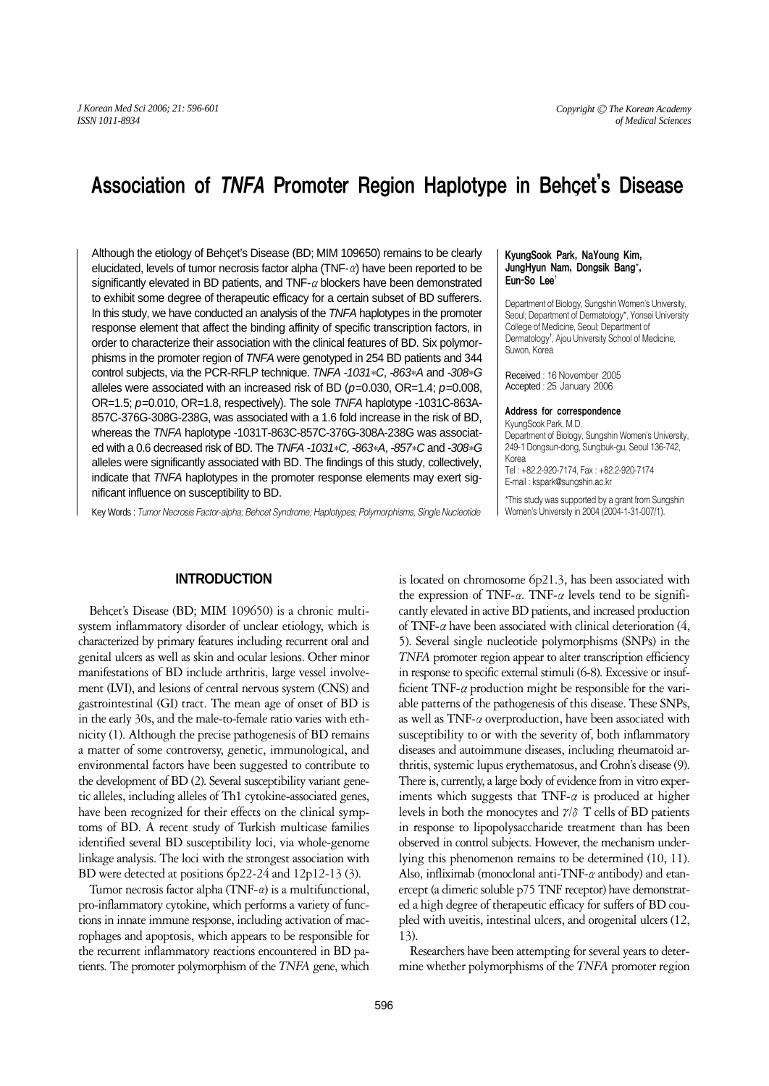# Association of TNFA Promoter Region Haplotype in Behcet's Disease

Although the etiology of Behcet's Disease (BD; MIM 109650) remains to be clearly elucidated, levels of tumor necrosis factor alpha (TNF- $\alpha$ ) have been reported to be significantly elevated in BD patients, and  $TNF-\alpha$  blockers have been demonstrated to exhibit some degree of therapeutic efficacy for a certain subset of BD sufferers. In this study, we have conducted an analysis of the TNFA haplotypes in the promoter response element that affect the binding affinity of specific transcription factors, in order to characterize their association with the clinical features of BD. Six polymorphisms in the promoter region of TNFA were genotyped in 254 BD patients and 344 control subjects, via the PCR-RFLP technique. TNFA -1031*\**C, -863*\**A and -308*\**G alleles were associated with an increased risk of BD ( $p=0.030$ , OR=1.4;  $p=0.008$ , OR=1.5; p=0.010, OR=1.8, respectively). The sole TNFA haplotype -1031C-863A-857C-376G-308G-238G, was associated with a 1.6 fold increase in the risk of BD, whereas the TNFA haplotype -1031T-863C-857C-376G-308A-238G was associated with a 0.6 decreased risk of BD. The TNFA -1031*\**C, -863*\**A, -857*\**C and -308*\**G alleles were significantly associated with BD. The findings of this study, collectively, indicate that TNFA haplotypes in the promoter response elements may exert significant influence on susceptibility to BD.

Key Words : *Tumor Necrosis Factor-alpha; Behcet Syndrome; Haplotypes; Polymorphisms, Single Nucleotide*

## KyungSook Park, NaYoung Kim, JungHyun Nam, Dongsik Bang\*, Eun-So Lee

Department of Biology, Sungshin Women's University, Seoul; Department of Dermatology\*, Yonsei University College of Medicine, Seoul; Department of Dermatology<sup>†</sup>, Ajou University School of Medicine, Suwon, Korea

Received : 16 November 2005 Accepted : 25 January 2006

#### Address for correspondence

KyungSook Park, M.D. Department of Biology, Sungshin Women's University, 249-1 Dongsun-dong, Sungbuk-gu, Seoul 136-742, Korea

Tel : +82.2-920-7174, Fax : +82.2-920-7174 E-mail : kspark@sungshin.ac.kr

\*This study was supported by a grant from Sungshin Women's University in 2004 (2004-1-31-007/1).

# **INTRODUCTION**

Behcet's Disease (BD; MIM 109650) is a chronic multisystem inflammatory disorder of unclear etiology, which is characterized by primary features including recurrent oral and genital ulcers as well as skin and ocular lesions. Other minor manifestations of BD include arthritis, large vessel involvement (LVI), and lesions of central nervous system (CNS) and gastrointestinal (GI) tract. The mean age of onset of BD is in the early 30s, and the male-to-female ratio varies with ethnicity (1). Although the precise pathogenesis of BD remains a matter of some controversy, genetic, immunological, and environmental factors have been suggested to contribute to the development of BD (2). Several susceptibility variant genetic alleles, including alleles of Th1 cytokine-associated genes, have been recognized for their effects on the clinical symptoms of BD. A recent study of Turkish multicase families identified several BD susceptibility loci, via whole-genome linkage analysis. The loci with the strongest association with BD were detected at positions 6p22-24 and 12p12-13 (3).

Tumor necrosis factor alpha  $(TNF-\alpha)$  is a multifunctional, pro-inflammatory cytokine, which performs a variety of functions in innate immune response, including activation of macrophages and apoptosis, which appears to be responsible for the recurrent inflammatory reactions encountered in BD patients. The promoter polymorphism of the *TNFA* gene, which

is located on chromosome 6p21.3, has been associated with the expression of TNF- $\alpha$ . TNF- $\alpha$  levels tend to be significantly elevated in active BD patients, and increased production of TNF- $\alpha$  have been associated with clinical deterioration (4, 5). Several single nucleotide polymorphisms (SNPs) in the *TNFA* promoter region appear to alter transcription efficiency in response to specific external stimuli (6-8). Excessive or insufficient TNF- $\alpha$  production might be responsible for the variable patterns of the pathogenesis of this disease. These SNPs, as well as TNF- $\alpha$  overproduction, have been associated with susceptibility to or with the severity of, both inflammatory diseases and autoimmune diseases, including rheumatoid arthritis, systemic lupus erythematosus, and Crohn's disease (9). There is, currently, a large body of evidence from in vitro experiments which suggests that TNF- $\alpha$  is produced at higher levels in both the monocytes and  $\gamma/\delta$  T cells of BD patients in response to lipopolysaccharide treatment than has been observed in control subjects. However, the mechanism underlying this phenomenon remains to be determined (10, 11). Also, infliximab (monoclonal anti-TNF- $\alpha$  antibody) and etanercept (a dimeric soluble p75 TNF receptor) have demonstrated a high degree of therapeutic efficacy for suffers of BD coupled with uveitis, intestinal ulcers, and orogenital ulcers (12, 13).

Researchers have been attempting for several years to determine whether polymorphisms of the *TNFA* promoter region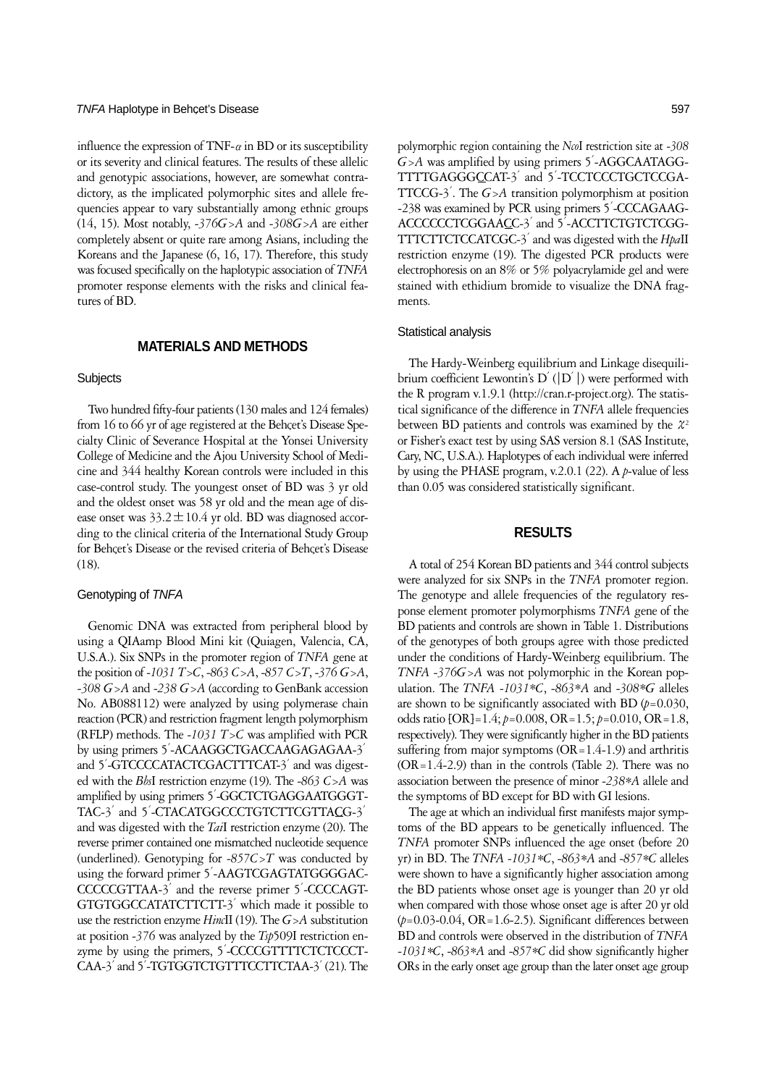## TNFA Haplotype in Behcet's Disease 597

influence the expression of TNF- $\alpha$  in BD or its susceptibility or its severity and clinical features. The results of these allelic and genotypic associations, however, are somewhat contradictory, as the implicated polymorphic sites and allele frequencies appear to vary substantially among ethnic groups (14, 15). Most notably, *-376G>A* and *-308G>A* are either completely absent or quite rare among Asians, including the Koreans and the Japanese (6, 16, 17). Therefore, this study was focused specifically on the haplotypic association of *TNFA* promoter response elements with the risks and clinical features of BD.

## **MATERIALS AND METHODS**

#### **Subjects**

Two hundred fifty-four patients (130 males and 124 females) from 16 to 66 yr of age registered at the Behcet's Disease Specialty Clinic of Severance Hospital at the Yonsei University College of Medicine and the Ajou University School of Medicine and 344 healthy Korean controls were included in this case-control study. The youngest onset of BD was 3 yr old and the oldest onset was 58 yr old and the mean age of disease onset was  $33.2 \pm 10.4$  yr old. BD was diagnosed according to the clinical criteria of the International Study Group for Behcet's Disease or the revised criteria of Behcet's Disease (18).

### Genotyping of TNFA

Genomic DNA was extracted from peripheral blood by using a QIAamp Blood Mini kit (Quiagen, Valencia, CA, U.S.A.). Six SNPs in the promoter region of *TNFA* gene at the position of *-1031 T>C*, *-863 C>A*, *-857 C>T*, *-376 G>A*, *-308 G>A* and *-238 G>A* (according to GenBank accession No. AB088112) were analyzed by using polymerase chain reaction (PCR) and restriction fragment length polymorphism (RFLP) methods. The *-1031 T>C* was amplified with PCR by using primers 5′-ACAAGGCTGACCAAGAGAGAA-3′ and 5′-GTCCCCATACTCGACTTTCAT-3′and was digested with the *Bbs*I restriction enzyme (19). The *-863 C>A* was amplified by using primers 5′-GGCTCTGAGGAATGGGT-TAC-3<sup>'</sup> and 5'-CTACATGGCCCTGTCTTCGTTACG-3<sup>'</sup> and was digested with the *Tai*I restriction enzyme (20). The reverse primer contained one mismatched nucleotide sequence (underlined). Genotyping for *-857C>T* was conducted by using the forward primer 5′-AAGTCGAGTATGGGGAC-CCCCCGTTAA-3′and the reverse primer 5′-CCCCAGT-GTGTGGCCATATCTTCTT-3′which made it possible to use the restriction enzyme *Hinc*II (19). The *G>A* substitution at position *-376* was analyzed by the *Tsp*509I restriction enzyme by using the primers, 5'-CCCCGTTTTCTCTCCCT-CAA-3′and 5′-TGTGGTCTGTTTCCTTCTAA-3′(21). The polymorphic region containing the *Nco*I restriction site at *-308 G>A* was amplified by using primers 5′-AGGCAATAGG-TTTTGAGGGCCAT-3′and 5′-TCCTCCCTGCTCCGA-TTCCG-3′. The *G>A* transition polymorphism at position -238 was examined by PCR using primers 5′-CCCAGAAG-ACCCCCCTCGGAACC-3′and 5′-ACCTTCTGTCTCGG-TTTCTTCTCCATCGC-3′and was digested with the *Hpa*II restriction enzyme (19). The digested PCR products were electrophoresis on an 8% or 5% polyacrylamide gel and were stained with ethidium bromide to visualize the DNA fragments.

#### Statistical analysis

The Hardy-Weinberg equilibrium and Linkage disequilibrium coefficient Lewontin's  $D'(D')$  were performed with the R program v.1.9.1 (http://cran.r-project.org). The statistical significance of the difference in *TNFA* allele frequencies between BD patients and controls was examined by the  $\mathcal{X}^2$ or Fisher's exact test by using SAS version 8.1 (SAS Institute, Cary, NC, U.S.A.). Haplotypes of each individual were inferred by using the PHASE program, v.2.0.1 (22). A *p*-value of less than 0.05 was considered statistically significant.

## **RESULTS**

A total of 254 Korean BD patients and 344 control subjects were analyzed for six SNPs in the *TNFA* promoter region. The genotype and allele frequencies of the regulatory response element promoter polymorphisms *TNFA* gene of the BD patients and controls are shown in Table 1. Distributions of the genotypes of both groups agree with those predicted under the conditions of Hardy-Weinberg equilibrium. The *TNFA -376G>A* was not polymorphic in the Korean population. The *TNFA -1031\*C*, *-863\*A* and *-308\*G* alleles are shown to be significantly associated with BD  $(p=0.030,$ odds ratio [OR]=1.4; *p*=0.008, OR=1.5; *p*=0.010, OR=1.8, respectively). They were significantly higher in the BD patients suffering from major symptoms  $(OR=1.4-1.9)$  and arthritis  $(OR=1.4-2.9)$  than in the controls (Table 2). There was no association between the presence of minor *-238\*A* allele and the symptoms of BD except for BD with GI lesions.

The age at which an individual first manifests major symptoms of the BD appears to be genetically influenced. The *TNFA* promoter SNPs influenced the age onset (before 20 yr) in BD. The *TNFA -1031\*C*, *-863\*A* and *-857\*C* alleles were shown to have a significantly higher association among the BD patients whose onset age is younger than 20 yr old when compared with those whose onset age is after 20 yr old (*p*=0.03-0.04, OR=1.6-2.5). Significant differences between BD and controls were observed in the distribution of *TNFA -1031\*C*, *-863\*A* and *-857\*C* did show significantly higher ORs in the early onset age group than the later onset age group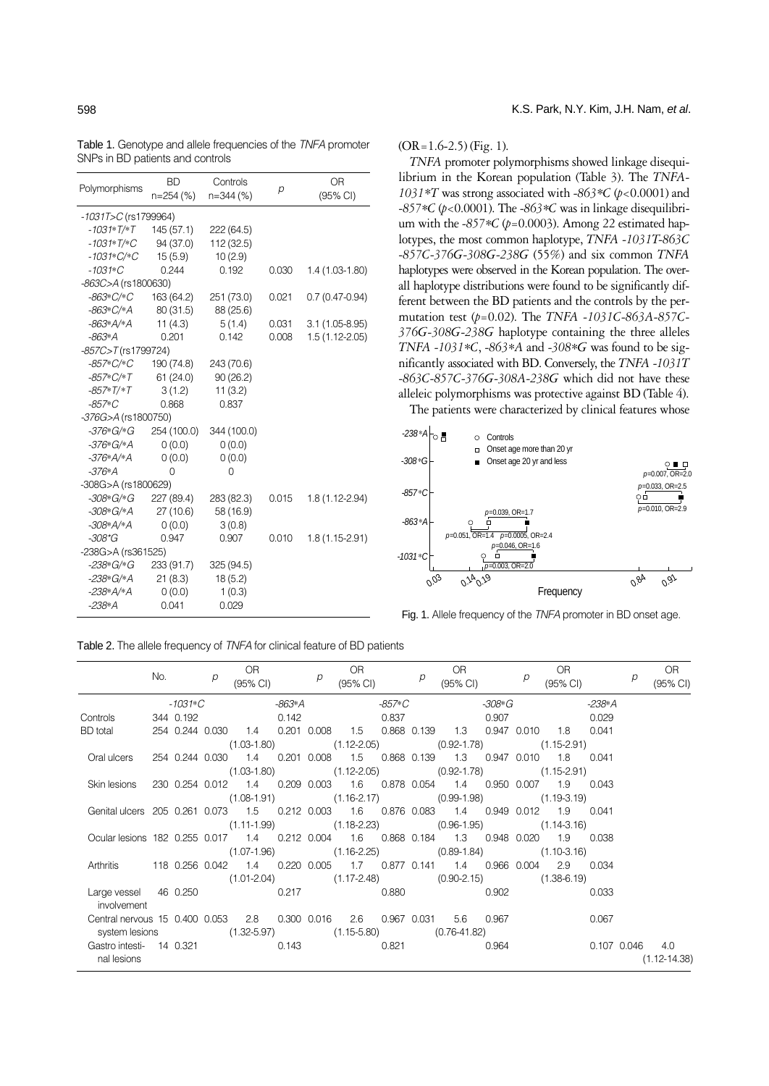| Polymorphisms            | <b>BD</b><br>n=254 (%) | Controls<br>n=344 (%) | р     | <b>OR</b><br>(95% CI) |  |  |  |  |  |  |  |
|--------------------------|------------------------|-----------------------|-------|-----------------------|--|--|--|--|--|--|--|
| $-1031T > C$ (rs1799964) |                        |                       |       |                       |  |  |  |  |  |  |  |
| $-1031*T/*T$             | 145 (57.1)             | 222 (64.5)            |       |                       |  |  |  |  |  |  |  |
| $-1031*T/*C$             | 94 (37.0)              | 112 (32.5)            |       |                       |  |  |  |  |  |  |  |
| $-1031*C$ *C             | 15(5.9)                | 10(2.9)               |       |                       |  |  |  |  |  |  |  |
| $-1031*C$                | 0.244                  | 0.192                 | 0.030 | 1.4 (1.03-1.80)       |  |  |  |  |  |  |  |
| -863C>A (rs1800630)      |                        |                       |       |                       |  |  |  |  |  |  |  |
| $-863*C$ *C              | 163 (64.2)             | 251 (73.0)            | 0.021 | $0.7(0.47-0.94)$      |  |  |  |  |  |  |  |
| $-863*C$ /*A             | 80 (31.5)              | 88 (25.6)             |       |                       |  |  |  |  |  |  |  |
| $-863*A*A$               | 11(4.3)                | 5(1.4)                | 0.031 | $3.1(1.05-8.95)$      |  |  |  |  |  |  |  |
| -863*A                   | 0.201                  | 0.142                 | 0.008 | $1.5(1.12 - 2.05)$    |  |  |  |  |  |  |  |
| $-857C > T$ (rs1799724)  |                        |                       |       |                       |  |  |  |  |  |  |  |
| $-857*C$ /*C             | 190 (74.8)             | 243 (70.6)            |       |                       |  |  |  |  |  |  |  |
| $-857*C$ *T              | 61(24.0)               | 90(26.2)              |       |                       |  |  |  |  |  |  |  |
| $-857*T/*T$              | 3(1.2)                 | 11(3.2)               |       |                       |  |  |  |  |  |  |  |
| $-857*C$                 | 0.868                  | 0.837                 |       |                       |  |  |  |  |  |  |  |
| -376G>A (rs1800750)      |                        |                       |       |                       |  |  |  |  |  |  |  |
| -376*G/*G                | 254 (100.0)            | 344 (100.0)           |       |                       |  |  |  |  |  |  |  |
| $-376*G/*A$              | 0(0.0)                 | 0(0.0)                |       |                       |  |  |  |  |  |  |  |
| $-376*A*A$               | 0(0.0)                 | 0(0.0)                |       |                       |  |  |  |  |  |  |  |
| $-376*A$                 | 0                      | 0                     |       |                       |  |  |  |  |  |  |  |
| -308G>A (rs1800629)      |                        |                       |       |                       |  |  |  |  |  |  |  |
| -308*G/*G                | 227 (89.4)             | 283 (82.3)            | 0.015 | $1.8(1.12 - 2.94)$    |  |  |  |  |  |  |  |
| $-308*G/*A$              | 27 (10.6)              | 58 (16.9)             |       |                       |  |  |  |  |  |  |  |
| $-308*A'*A$              | 0(0.0)                 | 3(0.8)                |       |                       |  |  |  |  |  |  |  |
| $-308*$ G                | 0.947                  | 0.907                 | 0.010 | $1.8(1.15-2.91)$      |  |  |  |  |  |  |  |
| -238G>A (rs361525)       |                        |                       |       |                       |  |  |  |  |  |  |  |
| -238*G/*G                | 233 (91.7)             | 325 (94.5)            |       |                       |  |  |  |  |  |  |  |
| -238*G/*A                | 21(8.3)                | 18(5.2)               |       |                       |  |  |  |  |  |  |  |
| $-238*A*A$               | 0(0.0)                 | 1(0.3)                |       |                       |  |  |  |  |  |  |  |
| $-238*A$                 | 0.041                  | 0.029                 |       |                       |  |  |  |  |  |  |  |

# 598 K.S. Park, N.Y. Kim, J.H. Nam, et al.

# $(OR=1.6-2.5)$  (Fig. 1).

*TNFA* promoter polymorphisms showed linkage disequilibrium in the Korean population (Table 3). The *TNFA-1031\*T* was strong associated with *-863\*C* (*p*<0.0001) and *-857\*C* (*p*<0.0001). The *-863\*C* was in linkage disequilibrium with the *-857\*C* (*p*=0.0003). Among 22 estimated haplotypes, the most common haplotype, *TNFA -1031T-863C -857C-376G-308G-238G* (55%) and six common *TNFA* haplotypes were observed in the Korean population. The overall haplotype distributions were found to be significantly different between the BD patients and the controls by the permutation test (*p*=0.02). The *TNFA -1031C-863A-857C-376G-308G-238G* haplotype containing the three alleles *TNFA -1031\*C*, *-863\*A* and *-308\*G* was found to be significantly associated with BD. Conversely, the *TNFA -1031T -863C-857C-376G-308A-238G* which did not have these alleleic polymorphisms was protective against BD (Table 4).

The patients were characterized by clinical features whose



Fig. 1. Allele frequency of the *TNFA* promoter in BD onset age.

Table 2. The allele frequency of *TNFA* for clinical feature of BD patients

|                                                                                               | No. |           | р | OR.<br>(95% CI)                                                                      |       | $\rho$ | OR<br>(95% CI) |        | $\rho$ | OR DR<br>(95% CI) |        | p | OR.<br>(95% CI) |         | $\rho$              | OR<br>(95% CI)   |
|-----------------------------------------------------------------------------------------------|-----|-----------|---|--------------------------------------------------------------------------------------|-------|--------|----------------|--------|--------|-------------------|--------|---|-----------------|---------|---------------------|------------------|
|                                                                                               |     | -1031*C   |   |                                                                                      |       |        |                | -857*C |        |                   | -308*G |   |                 | -238* A |                     |                  |
| Controls                                                                                      |     | 344 0.192 |   |                                                                                      | 0.142 |        |                | 0.837  |        |                   | 0.907  |   |                 | 0.029   |                     |                  |
| <b>BD</b> total                                                                               |     |           |   | 254 0.244 0.030  1.4  0.201  0.008  1.5  0.868  0.139  1.3  0.947  0.010  1.8        |       |        |                |        |        |                   |        |   |                 | 0.041   |                     |                  |
|                                                                                               |     |           |   | $(1.03-1.80)$ $(1.12-2.05)$ $(0.92-1.78)$ $(1.15-2.91)$                              |       |        |                |        |        |                   |        |   |                 |         |                     |                  |
| Oral ulcers                                                                                   |     |           |   | 254 0.244 0.030  1.4  0.201  0.008  1.5  0.868  0.139  1.3  0.947  0.010  1.8  0.041 |       |        |                |        |        |                   |        |   |                 |         |                     |                  |
|                                                                                               |     |           |   | $(1.03-1.80)$ $(1.12-2.05)$ $(0.92-1.78)$ $(1.15-2.91)$                              |       |        |                |        |        |                   |        |   |                 |         |                     |                  |
| Skin lesions                                                                                  |     |           |   | 230 0.254 0.012  1.4  0.209  0.003  1.6  0.878  0.054  1.4  0.950  0.007  1.9  0.043 |       |        |                |        |        |                   |        |   |                 |         |                     |                  |
|                                                                                               |     |           |   | $(1.08-1.91)$ $(1.16-2.17)$ $(0.99-1.98)$ $(1.19-3.19)$                              |       |        |                |        |        |                   |        |   |                 |         |                     |                  |
| Genital ulcers 205 0.261 0.073 1.5 0.212 0.003 1.6 0.876 0.083 1.4 0.949 0.012 1.9 0.041      |     |           |   |                                                                                      |       |        |                |        |        |                   |        |   |                 |         |                     |                  |
|                                                                                               |     |           |   | $(1.11-1.99)$ $(1.18-2.23)$ $(0.96-1.95)$ $(1.14-3.16)$                              |       |        |                |        |        |                   |        |   |                 |         |                     |                  |
| Ocular lesions 182 0.255 0.017 1.4 0.212 0.004 1.6 0.868 0.184 1.3 0.948 0.020 1.9 0.038      |     |           |   |                                                                                      |       |        |                |        |        |                   |        |   |                 |         |                     |                  |
|                                                                                               |     |           |   | $(1.07-1.96)$ $(1.16-2.25)$ $(0.89-1.84)$ $(1.10-3.16)$                              |       |        |                |        |        |                   |        |   |                 |         |                     |                  |
| Arthritis  118 0.256 0.042  1.4  0.220 0.005  1.7  0.877  0.141  1.4  0.966 0.004  2.9  0.034 |     |           |   |                                                                                      |       |        |                |        |        |                   |        |   |                 |         |                     |                  |
|                                                                                               |     |           |   | $(1.01-2.04)$ $(1.17-2.48)$ $(0.90-2.15)$ $(1.38-6.19)$                              |       |        |                |        |        |                   |        |   |                 |         |                     |                  |
| Large vessel  46 0.250   0.217   0.880   0.902<br>involvement                                 |     |           |   |                                                                                      |       |        |                |        |        |                   |        |   |                 | 0.033   |                     |                  |
| Central nervous 15 0.400 0.053  2.8  0.300 0.016  2.6  0.967  0.031  5.6  0.967               |     |           |   |                                                                                      |       |        |                |        |        |                   |        |   |                 | 0.067   |                     |                  |
| system lesions (1.32-5.97) (1.15-5.80) (0.76-41.82)                                           |     |           |   |                                                                                      |       |        |                |        |        |                   |        |   |                 |         |                     |                  |
| Gastro intesti- 14 0.321 0.143 0.821 0.964                                                    |     |           |   |                                                                                      |       |        |                |        |        |                   |        |   |                 |         | $0.107$ $0.046$ 4.0 |                  |
| nal lesions                                                                                   |     |           |   |                                                                                      |       |        |                |        |        |                   |        |   |                 |         |                     | $(1.12 - 14.38)$ |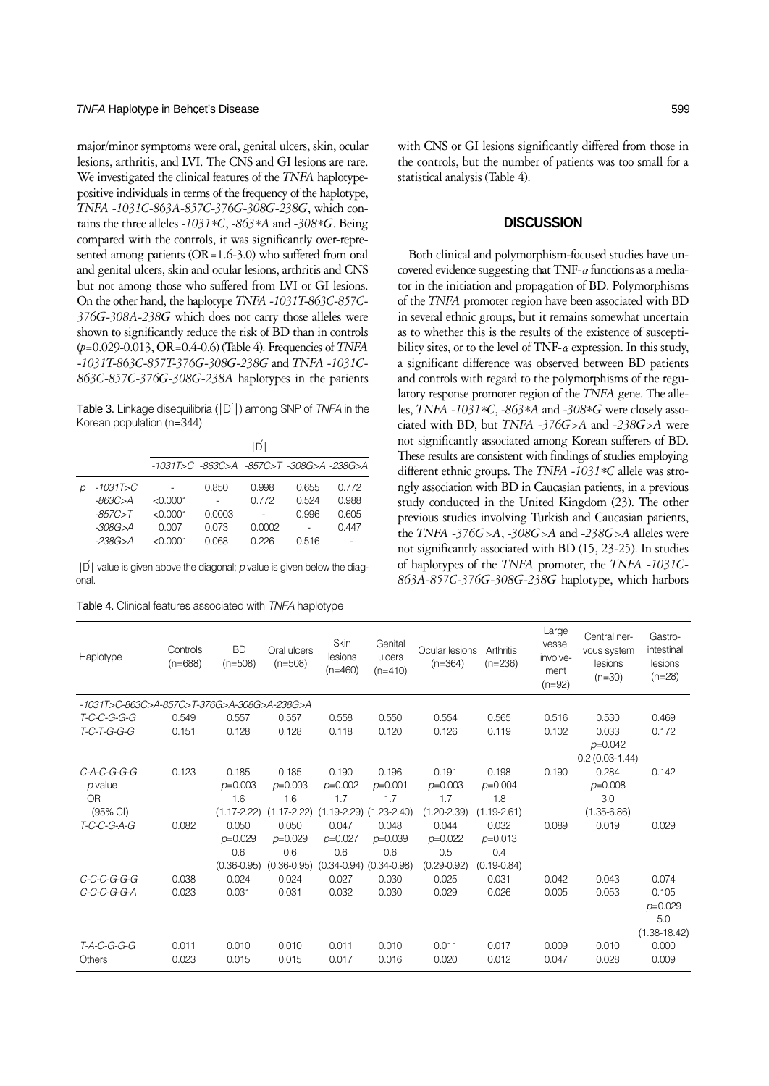## TNFA Haplotype in Behcet's Disease 599

major/minor symptoms were oral, genital ulcers, skin, ocular lesions, arthritis, and LVI. The CNS and GI lesions are rare. We investigated the clinical features of the *TNFA* haplotypepositive individuals in terms of the frequency of the haplotype, *TNFA -1031C-863A-857C-376G-308G-238G*, which contains the three alleles *-1031\*C*, *-863\*A* and *-308\*G*. Being compared with the controls, it was significantly over-represented among patients (OR=1.6-3.0) who suffered from oral and genital ulcers, skin and ocular lesions, arthritis and CNS but not among those who suffered from LVI or GI lesions. On the other hand, the haplotype *TNFA -1031T-863C-857C-376G-308A-238G* which does not carry those alleles were shown to significantly reduce the risk of BD than in controls (*p*=0.029-0.013, OR=0.4-0.6) (Table 4). Frequencies of *TNFA* -*1031T-863C-857T-376G-308G-238G* and *TNFA -1031C-863C-857C-376G-308G-238A* haplotypes in the patients

Table 3. Linkage disequilibria ( $|D|$ ) among SNP of *TNFA* in the Korean population (n=344)

|              | D          |        |        |       |       |  |  |  |  |  |
|--------------|------------|--------|--------|-------|-------|--|--|--|--|--|
|              |            |        |        |       |       |  |  |  |  |  |
| $-1031T > C$ |            | 0.850  | O 998  | 0.655 | በ 772 |  |  |  |  |  |
| -863C>A      | < 0.0001   |        | በ 772  | 0.524 | 0.988 |  |  |  |  |  |
| $-857C > T$  | $<$ 0.0001 | 0.0003 |        | 0.996 | 0.605 |  |  |  |  |  |
| $-308G > A$  | 0.007      | 0.073  | 0.0002 |       | Q 447 |  |  |  |  |  |
| $-238G > A$  | $<$ 0.0001 | 0.068  | በ 226  | 0.516 |       |  |  |  |  |  |

│D′│value is given above the diagonal; *p* value is given below the diagonal.

Table 4. Clinical features associated with *TNFA* haplotype

with CNS or GI lesions significantly differed from those in the controls, but the number of patients was too small for a statistical analysis (Table 4).

# **DISCUSSION**

Both clinical and polymorphism-focused studies have uncovered evidence suggesting that TNF- $\alpha$  functions as a mediator in the initiation and propagation of BD. Polymorphisms of the *TNFA* promoter region have been associated with BD in several ethnic groups, but it remains somewhat uncertain as to whether this is the results of the existence of susceptibility sites, or to the level of TNF- $\alpha$  expression. In this study, a significant difference was observed between BD patients and controls with regard to the polymorphisms of the regulatory response promoter region of the *TNFA* gene. The alleles, *TNFA -1031\*C*, *-863\*A* and *-308\*G* were closely associated with BD, but *TNFA -376G>A* and *-238G>A* were not significantly associated among Korean sufferers of BD. These results are consistent with findings of studies employing different ethnic groups. The *TNFA -1031\*C* allele was strongly association with BD in Caucasian patients, in a previous study conducted in the United Kingdom (23). The other previous studies involving Turkish and Caucasian patients, the *TNFA -376G>A*, *-308G>A* and -*238G>A* alleles were not significantly associated with BD (15, 23-25). In studies of haplotypes of the *TNFA* promoter, the *TNFA -1031C-863A-857C-376G-308G-238G* haplotype, which harbors

| Haplotype                                   | Controls<br>$(n=688)$ | <b>BD</b><br>$(n=508)$ | Oral ulcers<br>$(n=508)$ | Skin<br>lesions<br>$(n=460)$ | Genital<br>ulcers<br>$(n=410)$  | Ocular lesions<br>$(n=364)$ | Arthritis<br>$(n=236)$ | Large<br>vessel<br>involve-<br>ment<br>$(n=92)$ | Central ner-<br>vous system<br>lesions<br>$(n=30)$ | Gastro-<br>intestinal<br>lesions<br>$(n=28)$ |  |  |  |
|---------------------------------------------|-----------------------|------------------------|--------------------------|------------------------------|---------------------------------|-----------------------------|------------------------|-------------------------------------------------|----------------------------------------------------|----------------------------------------------|--|--|--|
| -1031T>C-863C>A-857C>T-376G>A-308G>A-238G>A |                       |                        |                          |                              |                                 |                             |                        |                                                 |                                                    |                                              |  |  |  |
| T-C-C-G-G-G                                 | 0.549                 | 0.557                  | 0.557                    | 0.558                        | 0.550                           | 0.554                       | 0.565                  | 0.516                                           | 0.530                                              | 0.469                                        |  |  |  |
| T-C-T-G-G-G                                 | 0.151                 | 0.128                  | 0.128                    | 0.118                        | 0.120                           | 0.126                       | 0.119                  | 0.102                                           | 0.033                                              | 0.172                                        |  |  |  |
|                                             |                       |                        |                          |                              |                                 |                             |                        |                                                 | $p=0.042$                                          |                                              |  |  |  |
|                                             |                       |                        |                          |                              |                                 |                             |                        |                                                 | $0.2(0.03-1.44)$                                   |                                              |  |  |  |
| $C-A-C-G-G-G$                               | 0.123                 | 0.185                  | 0.185                    | 0.190                        | 0.196                           | 0.191                       | 0.198                  | 0.190                                           | 0.284                                              | 0.142                                        |  |  |  |
| $p$ value                                   |                       | $p=0.003$              | $p=0.003$                | $p=0.002$                    | $p=0.001$                       | $p=0.003$                   | $p=0.004$              |                                                 | $p=0.008$                                          |                                              |  |  |  |
| OR                                          |                       | 1.6                    | 1.6                      | 1.7                          | 1.7                             | 1.7                         | 1.8                    |                                                 | 3.0                                                |                                              |  |  |  |
| $(95% \text{ Cl})$                          |                       | $(1.17 - 2.22)$        | $(1.17 - 2.22)$          |                              | $(1.19-2.29)$ $(1.23-2.40)$     | $(1.20 - 2.39)$             | $(1.19 - 2.61)$        |                                                 | $(1.35 - 6.86)$                                    |                                              |  |  |  |
| T-C-C-G-A-G                                 | 0.082                 | 0.050                  | 0.050                    | 0.047                        | 0.048                           | 0.044                       | 0.032                  | 0.089                                           | 0.019                                              | 0.029                                        |  |  |  |
|                                             |                       | $p=0.029$              | $p=0.029$                | $p=0.027$                    | $p=0.039$                       | $p=0.022$                   | $p=0.013$              |                                                 |                                                    |                                              |  |  |  |
|                                             |                       | 0.6                    | 0.6                      | 0.6                          | 0.6                             | 0.5                         | 0.4                    |                                                 |                                                    |                                              |  |  |  |
|                                             |                       | $(0.36 - 0.95)$        | $(0.36 - 0.95)$          |                              | $(0.34 - 0.94)$ $(0.34 - 0.98)$ | $(0.29 - 0.92)$             | $(0.19 - 0.84)$        |                                                 |                                                    |                                              |  |  |  |
| C-C-C-G-G-G                                 | 0.038                 | 0.024                  | 0.024                    | 0.027                        | 0.030                           | 0.025                       | 0.031                  | 0.042                                           | 0.043                                              | 0.074                                        |  |  |  |
| C-C-C-G-G-A                                 | 0.023                 | 0.031                  | 0.031                    | 0.032                        | 0.030                           | 0.029                       | 0.026                  | 0.005                                           | 0.053                                              | 0.105                                        |  |  |  |
|                                             |                       |                        |                          |                              |                                 |                             |                        |                                                 |                                                    | $p=0.029$                                    |  |  |  |
|                                             |                       |                        |                          |                              |                                 |                             |                        |                                                 |                                                    | 5.0                                          |  |  |  |
|                                             |                       |                        |                          |                              |                                 |                             |                        |                                                 |                                                    | $(1.38 - 18.42)$                             |  |  |  |
| T-A-C-G-G-G                                 | 0.011                 | 0.010                  | 0.010                    | 0.011                        | 0.010                           | 0.011                       | 0.017                  | 0.009                                           | 0.010                                              | 0.000                                        |  |  |  |
| Others                                      | 0.023                 | 0.015                  | 0.015                    | 0.017                        | 0.016                           | 0.020                       | 0.012                  | 0.047                                           | 0.028                                              | 0.009                                        |  |  |  |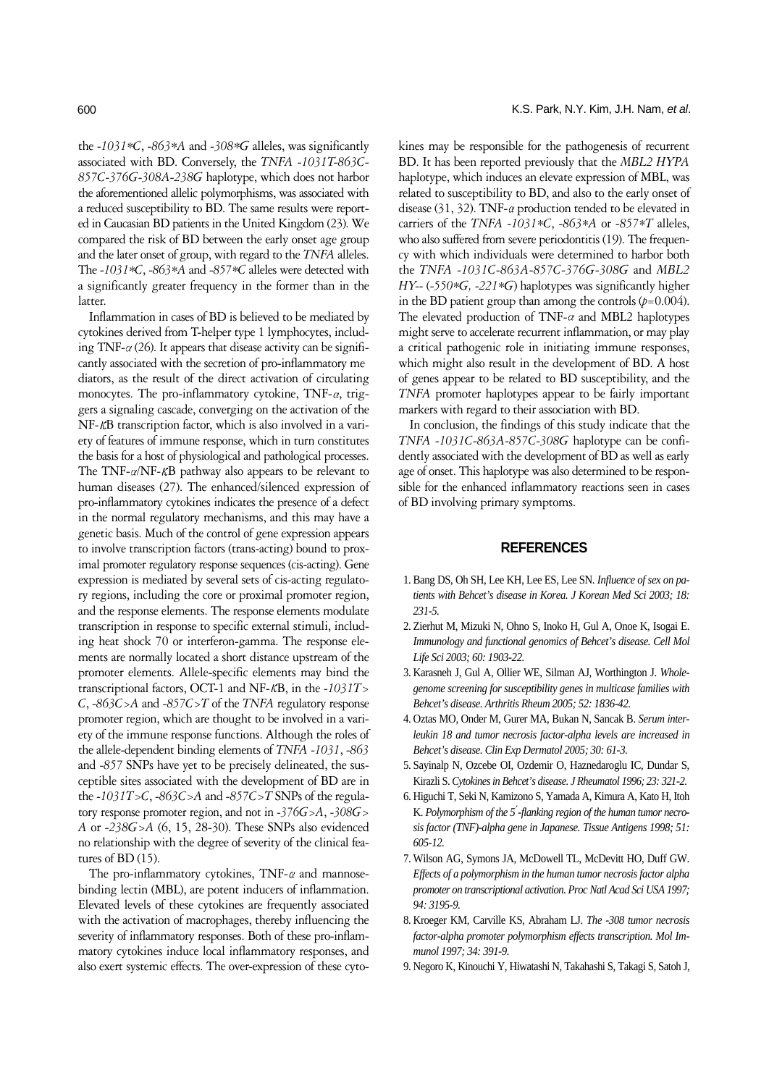the *-1031\*C*, *-863\*A* and *-308\*G* alleles, was significantly associated with BD. Conversely, the *TNFA -1031T-863C-857C-376G-308A-238G* haplotype, which does not harbor the aforementioned allelic polymorphisms, was associated with a reduced susceptibility to BD. The same results were reported in Caucasian BD patients in the United Kingdom (23). We compared the risk of BD between the early onset age group and the later onset of group, with regard to the *TNFA* alleles. The -*1031\*C*, *-863\*A* and *-857\*C* alleles were detected with a significantly greater frequency in the former than in the latter.

Inflammation in cases of BD is believed to be mediated by cytokines derived from T-helper type 1 lymphocytes, including TNF- $\alpha$  (26). It appears that disease activity can be significantly associated with the secretion of pro-inflammatory mediators, as the result of the direct activation of circulating monocytes. The pro-inflammatory cytokine, TNF- $\alpha$ , triggers a signaling cascade, converging on the activation of the NF-KB transcription factor, which is also involved in a variety of features of immune response, which in turn constitutes the basis for a host of physiological and pathological processes. The TNF- $\alpha$ /NF- $\kappa$ B pathway also appears to be relevant to human diseases (27). The enhanced/silenced expression of pro-inflammatory cytokines indicates the presence of a defect in the normal regulatory mechanisms, and this may have a genetic basis. Much of the control of gene expression appears to involve transcription factors (trans-acting) bound to proximal promoter regulatory response sequences (cis-acting). Gene expression is mediated by several sets of cis-acting regulatory regions, including the core or proximal promoter region, and the response elements. The response elements modulate transcription in response to specific external stimuli, including heat shock 70 or interferon-gamma. The response elements are normally located a short distance upstream of the promoter elements. Allele-specific elements may bind the transcriptional factors, OCT-1 and NF- $\kappa$ B, in the -1031T> *C*, *-863C>A* and *-857C>T* of the *TNFA* regulatory response promoter region, which are thought to be involved in a variety of the immune response functions. Although the roles of the allele-dependent binding elements of *TNFA -1031*, *-863* and *-857* SNPs have yet to be precisely delineated, the susceptible sites associated with the development of BD are in the *-1031T>C*, *-863C>A* and *-857C>T* SNPs of the regulatory response promoter region, and not in *-376G>A*, *-308G> A* or *-238G>A* (6, 15, 28-30). These SNPs also evidenced no relationship with the degree of severity of the clinical features of BD (15).

The pro-inflammatory cytokines, TNF- $\alpha$  and mannosebinding lectin (MBL), are potent inducers of inflammation. Elevated levels of these cytokines are frequently associated with the activation of macrophages, thereby influencing the severity of inflammatory responses. Both of these pro-inflammatory cytokines induce local inflammatory responses, and also exert systemic effects. The over-expression of these cytokines may be responsible for the pathogenesis of recurrent BD. It has been reported previously that the *MBL2 HYPA* haplotype, which induces an elevate expression of MBL, was related to susceptibility to BD, and also to the early onset of disease (31, 32). TNF- $\alpha$  production tended to be elevated in carriers of the *TNFA -1031\*C*, *-863\*A* or *-857\*T* alleles, who also suffered from severe periodontitis (19). The frequency with which individuals were determined to harbor both the *TNFA -1031C-863A-857C-376G-308G* and *MBL2 HY--* (*-550\*G, -221\*G*) haplotypes was significantly higher in the BD patient group than among the controls  $(p=0.004)$ . The elevated production of TNF- $\alpha$  and MBL2 haplotypes might serve to accelerate recurrent inflammation, or may play a critical pathogenic role in initiating immune responses, which might also result in the development of BD. A host of genes appear to be related to BD susceptibility, and the *TNFA* promoter haplotypes appear to be fairly important markers with regard to their association with BD.

In conclusion, the findings of this study indicate that the *TNFA -1031C-863A-857C-308G* haplotype can be confidently associated with the development of BD as well as early age of onset. This haplotype was also determined to be responsible for the enhanced inflammatory reactions seen in cases of BD involving primary symptoms.

# **REFERENCES**

- 1. Bang DS, Oh SH, Lee KH, Lee ES, Lee SN. *Influence of sex on patients with Behcet's disease in Korea. J Korean Med Sci 2003; 18: 231-5.*
- 2. Zierhut M, Mizuki N, Ohno S, Inoko H, Gul A, Onoe K, Isogai E. *Immunology and functional genomics of Behcet's disease. Cell Mol Life Sci 2003; 60: 1903-22.*
- 3. Karasneh J, Gul A, Ollier WE, Silman AJ, Worthington J. *Wholegenome screening for susceptibility genes in multicase families with Behcet's disease. Arthritis Rheum 2005; 52: 1836-42.*
- 4. Oztas MO, Onder M, Gurer MA, Bukan N, Sancak B. *Serum interleukin 18 and tumor necrosis factor-alpha levels are increased in Behcet's disease. Clin Exp Dermatol 2005; 30: 61-3.*
- 5. Sayinalp N, Ozcebe OI, Ozdemir O, Haznedaroglu IC, Dundar S, Kirazli S. *Cytokines in Behcet's disease. J Rheumatol 1996; 23: 321-2.*
- 6. Higuchi T, Seki N, Kamizono S, Yamada A, Kimura A, Kato H, Itoh K. *Polymorphism of the 5*′*-flanking region of the human tumor necrosis factor (TNF)-alpha gene in Japanese. Tissue Antigens 1998; 51: 605-12.*
- 7. Wilson AG, Symons JA, McDowell TL, McDevitt HO, Duff GW. *Effects of a polymorphism in the human tumor necrosis factor alpha promoter on transcriptional activation. Proc Natl Acad Sci USA 1997; 94: 3195-9.*
- 8. Kroeger KM, Carville KS, Abraham LJ. *The -308 tumor necrosis factor-alpha promoter polymorphism effects transcription. Mol Immunol 1997; 34: 391-9.*
- 9. Negoro K, Kinouchi Y, Hiwatashi N, Takahashi S, Takagi S, Satoh J,